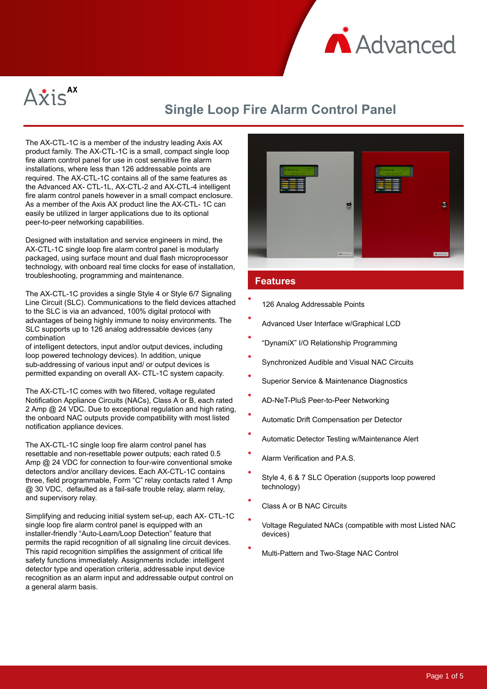



# **Single Loop Fire Alarm Control Panel**

The AX-CTL-1C is a member of the industry leading Axis AX product family. The AX-CTL-1C is a small, compact single loop fire alarm control panel for use in cost sensitive fire alarm installations, where less than 126 addressable points are required. The AX-CTL-1C contains all of the same features as the Advanced AX- CTL-1L, AX-CTL-2 and AX-CTL-4 intelligent fire alarm control panels however in a small compact enclosure. As a member of the Axis AX product line the AX-CTL- 1C can easily be utilized in larger applications due to its optional peer-to-peer networking capabilities.

Designed with installation and service engineers in mind, the AX-CTL-1C single loop fire alarm control panel is modularly packaged, using surface mount and dual flash microprocessor technology, with onboard real time clocks for ease of installation, troubleshooting, programming and maintenance.

The AX-CTL-1C provides a single Style 4 or Style 6/7 Signaling Line Circuit (SLC). Communications to the field devices attached to the SLC is via an advanced, 100% digital protocol with advantages of being highly immune to noisy environments. The SLC supports up to 126 analog addressable devices (any combination

of intelligent detectors, input and/or output devices, including loop powered technology devices). In addition, unique sub-addressing of various input and/ or output devices is permitted expanding on overall AX- CTL-1C system capacity.

The AX-CTL-1C comes with two filtered, voltage regulated Notification Appliance Circuits (NACs), Class A or B, each rated 2 Amp @ 24 VDC. Due to exceptional regulation and high rating, the onboard NAC outputs provide compatibility with most listed notification appliance devices.

The AX-CTL-1C single loop fire alarm control panel has resettable and non-resettable power outputs; each rated 0.5 Amp @ 24 VDC for connection to four-wire conventional smoke detectors and/or ancillary devices. Each AX-CTL-1C contains three, field programmable, Form "C" relay contacts rated 1 Amp @ 30 VDC, defaulted as a fail-safe trouble relay, alarm relay, and supervisory relay.

Simplifying and reducing initial system set-up, each AX- CTL-1C single loop fire alarm control panel is equipped with an installer-friendly "Auto-Learn/Loop Detection" feature that permits the rapid recognition of all signaling line circuit devices. This rapid recognition simplifies the assignment of critical life safety functions immediately. Assignments include: intelligent detector type and operation criteria, addressable input device recognition as an alarm input and addressable output control on a general alarm basis.



### **Features**

- 126 Analog Addressable Points
- Advanced User Interface w/Graphical LCD
- "DynamiX" I/O Relationship Programming
- Synchronized Audible and Visual NAC Circuits
- Superior Service & Maintenance Diagnostics
- AD-NeT-PluS Peer-to-Peer Networking
- Automatic Drift Compensation per Detector
- Automatic Detector Testing w/Maintenance Alert
- Alarm Verification and P.A.S.
- Style 4, 6 & 7 SLC Operation (supports loop powered technology)
- Class A or B NAC Circuits
- Voltage Regulated NACs (compatible with most Listed NAC devices)
- Multi-Pattern and Two-Stage NAC Control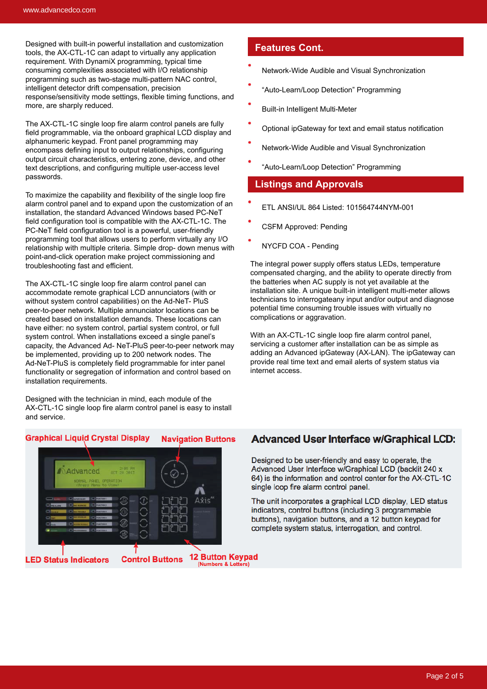Designed with built-in powerful installation and customization tools, the AX-CTL-1C can adapt to virtually any application requirement. With DynamiX programming, typical time consuming complexities associated with I/O relationship programming such as two-stage multi-pattern NAC control, intelligent detector drift compensation, precision response/sensitivity mode settings, flexible timing functions, and more, are sharply reduced.

The AX-CTL-1C single loop fire alarm control panels are fully field programmable, via the onboard graphical LCD display and alphanumeric keypad. Front panel programming may encompass defining input to output relationships, configuring output circuit characteristics, entering zone, device, and other text descriptions, and configuring multiple user-access level passwords.

To maximize the capability and flexibility of the single loop fire alarm control panel and to expand upon the customization of an installation, the standard Advanced Windows based PC-NeT field configuration tool is compatible with the AX-CTL-1C. The PC-NeT field configuration tool is a powerful, user-friendly programming tool that allows users to perform virtually any I/O relationship with multiple criteria. Simple drop- down menus with point-and-click operation make project commissioning and troubleshooting fast and efficient.

The AX-CTL-1C single loop fire alarm control panel can accommodate remote graphical LCD annunciators (with or without system control capabilities) on the Ad-NeT- PluS peer-to-peer network. Multiple annunciator locations can be created based on installation demands. These locations can have either: no system control, partial system control, or full system control. When installations exceed a single panel's capacity, the Advanced Ad- NeT-PluS peer-to-peer network may be implemented, providing up to 200 network nodes. The Ad-NeT-PluS is completely field programmable for inter panel functionality or segregation of information and control based on installation requirements.

Designed with the technician in mind, each module of the AX-CTL-1C single loop fire alarm control panel is easy to install and service.

#### **Graphical Liquid Crystal Display Navigation Buttons**



### **Features Cont.**

- Network-Wide Audible and Visual Synchronization
- "Auto-Learn/Loop Detection" Programming
- Built-in Intelligent Multi-Meter
- Optional ipGateway for text and email status notification
- Network-Wide Audible and Visual Synchronization
- "Auto-Learn/Loop Detection" Programming

#### **Listings and Approvals**

- ETL ANSI/UL 864 Listed: 101564744NYM-001
- CSFM Approved: Pending
- NYCFD COA Pending

The integral power supply offers status LEDs, temperature compensated charging, and the ability to operate directly from the batteries when AC supply is not yet available at the installation site. A unique built-in intelligent multi-meter allows technicians to interrogateany input and/or output and diagnose potential time consuming trouble issues with virtually no complications or aggravation.

With an AX-CTL-1C single loop fire alarm control panel, servicing a customer after installation can be as simple as adding an Advanced ipGateway (AX-LAN). The ipGateway can provide real time text and email alerts of system status via internet access.

### **Advanced User Interface w/Graphical LCD:**

Designed to be user-friendly and easy to operate, the Advanced User Interface w/Graphical LCD (backlit 240 x 64) is the information and control center for the AX-CTL-1C single loop fire alarm control panel.

The unit incorporates a graphical LCD display. LED status indicators, control buttons (including 3 programmable buttons), navigation buttons, and a 12 button keypad for complete system status, interrogation, and control.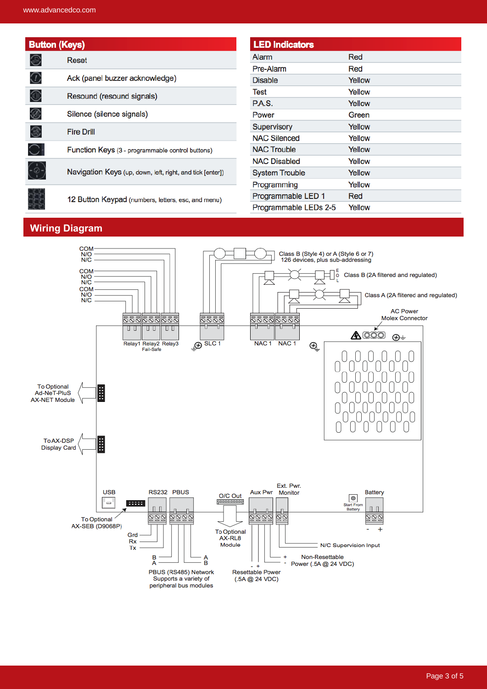| <b>Button (Keys)</b>              |                                                                                                                 | <b>LED Indicators</b> |        |  |  |
|-----------------------------------|-----------------------------------------------------------------------------------------------------------------|-----------------------|--------|--|--|
|                                   | Reset                                                                                                           | <b>Alarm</b>          | Red    |  |  |
|                                   |                                                                                                                 | Pre-Alarm             | Red    |  |  |
| $\mathbb G$                       | Ack (panel buzzer acknowledge)                                                                                  | <b>Disable</b>        | Yellow |  |  |
| $^\circledR$                      | Resound (resound signals)                                                                                       | Test                  | Yellow |  |  |
|                                   |                                                                                                                 | <b>P.A.S.</b>         | Yellow |  |  |
| ⊛                                 | Silence (silence signals)                                                                                       | Power                 | Green  |  |  |
| 3                                 | <b>Fire Drill</b>                                                                                               | Supervisory           | Yellow |  |  |
|                                   |                                                                                                                 | <b>NAC Silenced</b>   | Yellow |  |  |
|                                   | Function Keys (3 - programmable control buttons)                                                                | <b>NAC Trouble</b>    | Yellow |  |  |
| $\bigodot$<br>111<br>1111<br>1111 | Navigation Keys (up, down, left, right, and tick [enter])<br>12 Button Keypad (numbers, letters, esc, and menu) | <b>NAC Disabled</b>   | Yellow |  |  |
|                                   |                                                                                                                 | <b>System Trouble</b> | Yellow |  |  |
|                                   |                                                                                                                 | Programming           | Yellow |  |  |
|                                   |                                                                                                                 | Programmable LED 1    | Red    |  |  |
|                                   |                                                                                                                 | Programmable LEDs 2-5 | Yellow |  |  |

## **Wiring Diagram**

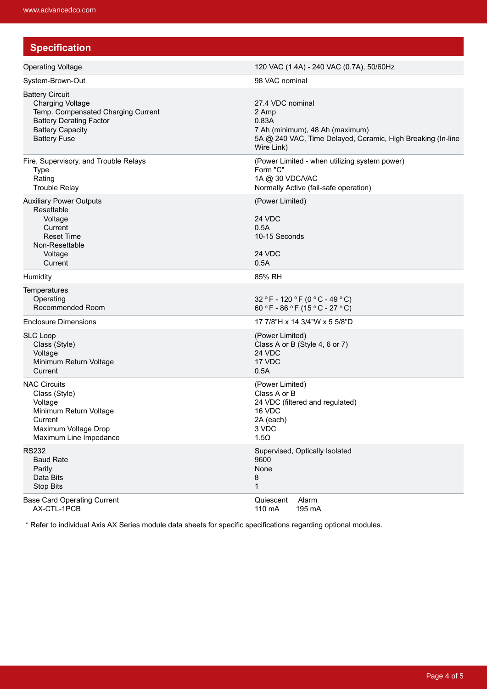| <b>Specification</b>                                                                                                                                                        |                                                                                                                                                    |  |  |
|-----------------------------------------------------------------------------------------------------------------------------------------------------------------------------|----------------------------------------------------------------------------------------------------------------------------------------------------|--|--|
| <b>Operating Voltage</b>                                                                                                                                                    | 120 VAC (1.4A) - 240 VAC (0.7A), 50/60Hz                                                                                                           |  |  |
| System-Brown-Out                                                                                                                                                            | 98 VAC nominal                                                                                                                                     |  |  |
| <b>Battery Circuit</b><br><b>Charging Voltage</b><br>Temp. Compensated Charging Current<br><b>Battery Derating Factor</b><br><b>Battery Capacity</b><br><b>Battery Fuse</b> | 27.4 VDC nominal<br>2 Amp<br>0.83A<br>7 Ah (minimum), 48 Ah (maximum)<br>5A @ 240 VAC, Time Delayed, Ceramic, High Breaking (In-line<br>Wire Link) |  |  |
| Fire, Supervisory, and Trouble Relays<br><b>Type</b><br>Rating<br><b>Trouble Relay</b>                                                                                      | (Power Limited - when utilizing system power)<br>Form "C"<br>1A @ 30 VDC/VAC<br>Normally Active (fail-safe operation)                              |  |  |
| <b>Auxiliary Power Outputs</b><br>Resettable<br>Voltage<br>Current<br><b>Reset Time</b><br>Non-Resettable<br>Voltage<br>Current                                             | (Power Limited)<br>24 VDC<br>0.5A<br>10-15 Seconds<br>24 VDC<br>0.5A                                                                               |  |  |
| Humidity                                                                                                                                                                    | 85% RH                                                                                                                                             |  |  |
| Temperatures<br>Operating<br>Recommended Room                                                                                                                               | 32 °F - 120 °F (0 °C - 49 °C)<br>60 °F - 86 °F (15 °C - 27 °C)                                                                                     |  |  |
| <b>Enclosure Dimensions</b>                                                                                                                                                 | 17 7/8"H x 14 3/4"W x 5 5/8"D                                                                                                                      |  |  |
| <b>SLC Loop</b><br>Class (Style)<br>Voltage<br>Minimum Return Voltage<br>Current                                                                                            | (Power Limited)<br>Class A or B (Style 4, 6 or 7)<br>24 VDC<br>17 VDC<br>0.5A                                                                      |  |  |
| <b>NAC Circuits</b><br>Class (Style)<br>Voltage<br>Minimum Return Voltage<br>Current<br>Maximum Voltage Drop<br>Maximum Line Impedance                                      | (Power Limited)<br>Class A or B<br>24 VDC (filtered and regulated)<br>16 VDC<br>2A (each)<br>3 VDC<br>$1.5\Omega$                                  |  |  |
| <b>RS232</b><br><b>Baud Rate</b><br>Parity<br>Data Bits<br><b>Stop Bits</b>                                                                                                 | Supervised, Optically Isolated<br>9600<br>None<br>8<br>1                                                                                           |  |  |
| <b>Base Card Operating Current</b><br>AX-CTL-1PCB                                                                                                                           | Alarm<br>Quiescent<br>110 mA<br>195 mA                                                                                                             |  |  |

\* Refer to individual Axis AX Series module data sheets for specific specifications regarding optional modules.